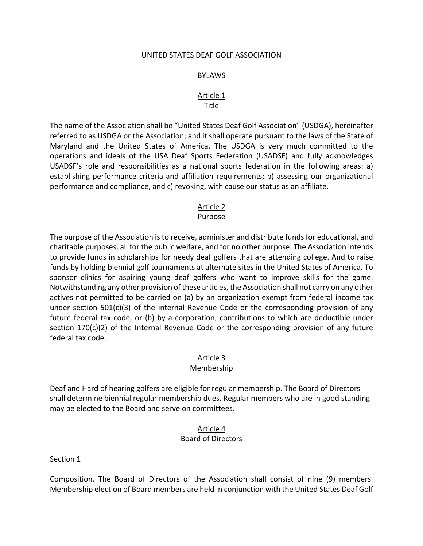#### UNITED STATES DEAF GOLF ASSOCIATION

#### BYLAWS

#### Article 1 Title

The name of the Association shall be "United States Deaf Golf Association" (USDGA), hereinafter referred to as USDGA or the Association; and it shall operate pursuant to the laws of the State of Maryland and the United States of America. The USDGA is very much committed to the operations and ideals of the USA Deaf Sports Federation (USADSF) and fully acknowledges USADSF's role and responsibilities as a national sports federation in the following areas: a) establishing performance criteria and affiliation requirements; b) assessing our organizational performance and compliance, and c) revoking, with cause our status as an affiliate.

# Article 2

#### Purpose

The purpose of the Association is to receive, administer and distribute funds for educational, and charitable purposes, all for the public welfare, and for no other purpose. The Association intends to provide funds in scholarships for needy deaf golfers that are attending college. And to raise funds by holding biennial golf tournaments at alternate sites in the United States of America. To sponsor clinics for aspiring young deaf golfers who want to improve skills for the game. Notwithstanding any other provision of these articles, the Association shall not carry on any other actives not permitted to be carried on (a) by an organization exempt from federal income tax under section  $501(c)(3)$  of the internal Revenue Code or the corresponding provision of any future federal tax code, or (b) by a corporation, contributions to which are deductible under section  $170(c)(2)$  of the Internal Revenue Code or the corresponding provision of any future federal tax code.

### Article 3

#### Membership

Deaf and Hard of hearing golfers are eligible for regular membership. The Board of Directors shall determine biennial regular membership dues. Regular members who are in good standing may be elected to the Board and serve on committees.

### Article 4 Board of Directors

Section 1

Composition. The Board of Directors of the Association shall consist of nine (9) members. Membership election of Board members are held in conjunction with the United States Deaf Golf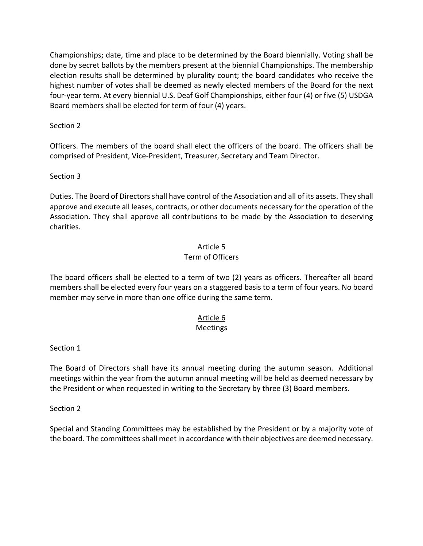Championships; date, time and place to be determined by the Board biennially. Voting shall be done by secret ballots by the members present at the biennial Championships. The membership election results shall be determined by plurality count; the board candidates who receive the highest number of votes shall be deemed as newly elected members of the Board for the next four-year term. At every biennial U.S. Deaf Golf Championships, either four (4) or five (5) USDGA Board members shall be elected for term of four (4) years.

Section 2

Officers. The members of the board shall elect the officers of the board. The officers shall be comprised of President, Vice-President, Treasurer, Secretary and Team Director.

Section 3

Duties. The Board of Directors shall have control of the Association and all of its assets. They shall approve and execute all leases, contracts, or other documents necessary for the operation of the Association. They shall approve all contributions to be made by the Association to deserving charities.

# Article 5

# Term of Officers

The board officers shall be elected to a term of two (2) years as officers. Thereafter all board members shall be elected every four years on a staggered basis to a term of four years. No board member may serve in more than one office during the same term.

# Article 6

# Meetings

### Section 1

The Board of Directors shall have its annual meeting during the autumn season. Additional meetings within the year from the autumn annual meeting will be held as deemed necessary by the President or when requested in writing to the Secretary by three (3) Board members.

Section 2

Special and Standing Committees may be established by the President or by a majority vote of the board. The committees shall meet in accordance with their objectives are deemed necessary.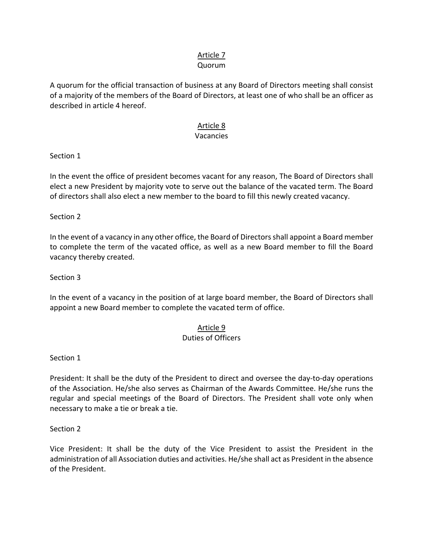# Article 7

## Quorum

A quorum for the official transaction of business at any Board of Directors meeting shall consist of a majority of the members of the Board of Directors, at least one of who shall be an officer as described in article 4 hereof.

# Article 8

# Vacancies

Section 1

In the event the office of president becomes vacant for any reason, The Board of Directors shall elect a new President by majority vote to serve out the balance of the vacated term. The Board of directors shall also elect a new member to the board to fill this newly created vacancy.

Section 2

In the event of a vacancy in any other office, the Board of Directors shall appoint a Board member to complete the term of the vacated office, as well as a new Board member to fill the Board vacancy thereby created.

Section 3

In the event of a vacancy in the position of at large board member, the Board of Directors shall appoint a new Board member to complete the vacated term of office.

# Article 9

# Duties of Officers

Section 1

President: It shall be the duty of the President to direct and oversee the day-to-day operations of the Association. He/she also serves as Chairman of the Awards Committee. He/she runs the regular and special meetings of the Board of Directors. The President shall vote only when necessary to make a tie or break a tie.

Section 2

Vice President: It shall be the duty of the Vice President to assist the President in the administration of all Association duties and activities. He/she shall act as President in the absence of the President.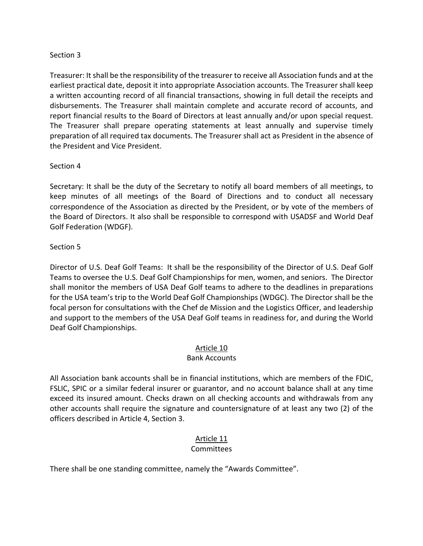## Section 3

Treasurer: It shall be the responsibility of the treasurer to receive all Association funds and at the earliest practical date, deposit it into appropriate Association accounts. The Treasurer shall keep a written accounting record of all financial transactions, showing in full detail the receipts and disbursements. The Treasurer shall maintain complete and accurate record of accounts, and report financial results to the Board of Directors at least annually and/or upon special request. The Treasurer shall prepare operating statements at least annually and supervise timely preparation of all required tax documents. The Treasurer shall act as President in the absence of the President and Vice President.

### Section 4

Secretary: It shall be the duty of the Secretary to notify all board members of all meetings, to keep minutes of all meetings of the Board of Directions and to conduct all necessary correspondence of the Association as directed by the President, or by vote of the members of the Board of Directors. It also shall be responsible to correspond with USADSF and World Deaf Golf Federation (WDGF).

### Section 5

Director of U.S. Deaf Golf Teams: It shall be the responsibility of the Director of U.S. Deaf Golf Teams to oversee the U.S. Deaf Golf Championships for men, women, and seniors. The Director shall monitor the members of USA Deaf Golf teams to adhere to the deadlines in preparations for the USA team's trip to the World Deaf Golf Championships (WDGC). The Director shall be the focal person for consultations with the Chef de Mission and the Logistics Officer, and leadership and support to the members of the USA Deaf Golf teams in readiness for, and during the World Deaf Golf Championships.

### Article 10

# Bank Accounts

All Association bank accounts shall be in financial institutions, which are members of the FDIC, FSLIC, SPIC or a similar federal insurer or guarantor, and no account balance shall at any time exceed its insured amount. Checks drawn on all checking accounts and withdrawals from any other accounts shall require the signature and countersignature of at least any two (2) of the officers described in Article 4, Section 3.

# Article 11

# **Committees**

There shall be one standing committee, namely the "Awards Committee".